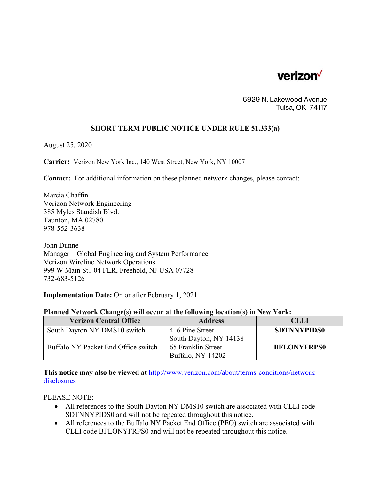

6929 N. Lakewood Avenue Tulsa, OK 74117

## **SHORT TERM PUBLIC NOTICE UNDER RULE 51.333(a)**

August 25, 2020

**Carrier:** Verizon New York Inc., 140 West Street, New York, NY 10007

**Contact:** For additional information on these planned network changes, please contact:

Marcia Chaffin Verizon Network Engineering 385 Myles Standish Blvd. Taunton, MA 02780 978-552-3638

John Dunne Manager – Global Engineering and System Performance Verizon Wireline Network Operations 999 W Main St., 04 FLR, Freehold, NJ USA 07728 732-683-5126

**Implementation Date:** On or after February 1, 2021

| Planned Network Change(s) will occur at the following location(s) in New York: |  |  |  |  |
|--------------------------------------------------------------------------------|--|--|--|--|
|                                                                                |  |  |  |  |

| <b>Verizon Central Office</b>       | <b>Address</b>         | <b>CLLI</b>        |
|-------------------------------------|------------------------|--------------------|
| South Dayton NY DMS10 switch        | 416 Pine Street        | <b>SDTNNYPIDS0</b> |
|                                     | South Dayton, NY 14138 |                    |
| Buffalo NY Packet End Office switch | 65 Franklin Street     | <b>BFLONYFRPS0</b> |
|                                     | Buffalo, NY 14202      |                    |

**This notice may also be viewed at** http://www.verizon.com/about/terms-conditions/networkdisclosures

PLEASE NOTE:

- All references to the South Dayton NY DMS10 switch are associated with CLLI code SDTNNYPIDS0 and will not be repeated throughout this notice.
- All references to the Buffalo NY Packet End Office (PEO) switch are associated with CLLI code BFLONYFRPS0 and will not be repeated throughout this notice.